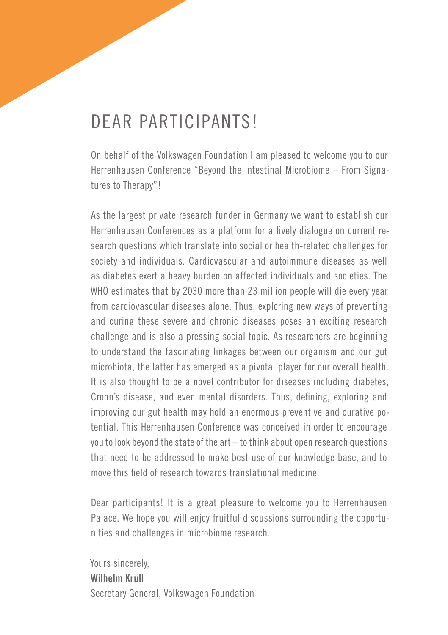# DEAR PARTICIPANTS!

On behalf of the Volkswagen Foundation I am pleased to welcome you to our Herrenhausen Conference "Beyond the Intestinal Microbiome – From Signatures to Therapy"!

As the largest private research funder in Germany we want to establish our Herrenhausen Conferences as a platform for a lively dialogue on current research questions which translate into social or health-related challenges for society and individuals. Cardiovascular and autoimmune diseases as well as diabetes exert a heavy burden on affected individuals and societies. The WHO estimates that by 2030 more than 23 million people will die every year from cardiovascular diseases alone. Thus, exploring new ways of preventing and curing these severe and chronic diseases poses an exciting research challenge and is also a pressing social topic. As researchers are beginning to understand the fascinating linkages between our organism and our gut microbiota, the latter has emerged as a pivotal player for our overall health. It is also thought to be a novel contributor for diseases including diabetes, Crohn's disease, and even mental disorders. Thus, defining, exploring and improving our gut health may hold an enormous preventive and curative potential. This Herrenhausen Conference was conceived in order to encourage you to look beyond the state of the art – to think about open research questions that need to be addressed to make best use of our knowledge base, and to move this field of research towards translational medicine.

Dear participants! It is a great pleasure to welcome you to Herrenhausen Palace. We hope you will enjoy fruitful discussions surrounding the opportunities and challenges in microbiome research.

Yours sincerely, **Wilhelm Krull** Secretary General, Volkswagen Foundation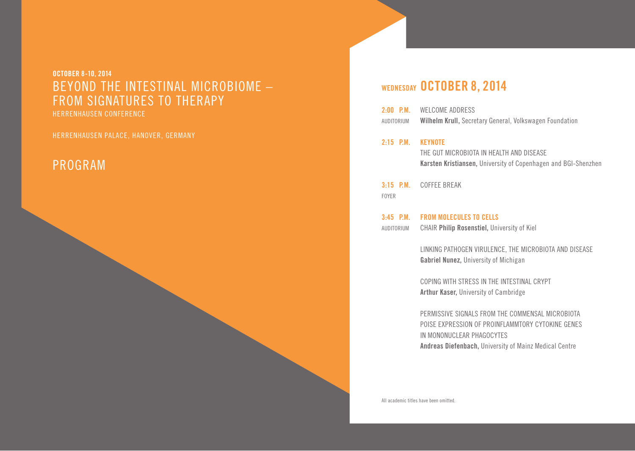**OCTOBER 8-10, 2014**  BEYOND THE INTESTINAL MICROBIOME – FROM SIGNATURES TO THERAPY HERRENHAUSEN CONFERENCE

HERRENHAUSEN PALACE, HANOVER, GERMANY

### PROGRAM

### **WEDNESDAY OCTOBER 8, 2014**

| $2:00$ P.M. | WELCOME ADDRESS                                         |
|-------------|---------------------------------------------------------|
| AUDITORIUM  | Wilhelm Krull, Secretary General, Volkswagen Foundation |

**2:15 P.M. KEYNOTE** 

THE GUT MICROBIOTA IN HEALTH AND DISEASE  **Karsten Kristiansen,** University of Copenhagen and BGI-Shenzhen

**3:15 P.M.** COFFEE BREAK FOYER

**3:45 P.M. FROM MOLECULES TO CELLS** AUDITORIUM CHAIR **Philip Rosenstiel,** University of Kiel

> LINKING PATHOGEN VIRULENCE, THE MICROBIOTA AND DISEASE  **Gabriel Nunez,** University of Michigan

COPING WITH STRESS IN THE INTESTINAL CRYPT  **Arthur Kaser,** University of Cambridge

PERMISSIVE SIGNALS FROM THE COMMENSAL MICROBIOTA POISE EXPRESSION OF PROINFLAMMTORY CYTOKINE GENES IN MONONUCLEAR PHAGOCYTES  **Andreas Diefenbach,** University of Mainz Medical Centre

All academic titles have been omitted.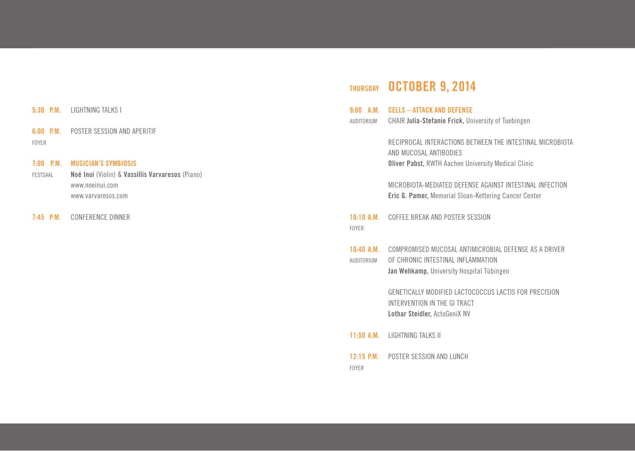### **5:30 P.M.** LIGHTNING TALKS I

**6:00 P.M.** POSTER SESSION AND APERITIF FOYER

#### **7:00 P.M. MUSICIAN´S SYMBIOSIS**

FESTSAAL **Noé Inui** (Violin) & **Vassillis Varvaresos** (Piano) www.noeinui.com www.varvaresos.com

**7:45 P.M.** CONFERENCE DINNER

# **THURSDAY OCTOBER 9, 2014**

| $9:00$ A.M.<br>AUDITORIUM         | <b>CELLS - ATTACK AND DEFENSE</b><br>CHAIR Julia-Stefanie Frick, University of Tuebingen                                                          |
|-----------------------------------|---------------------------------------------------------------------------------------------------------------------------------------------------|
|                                   | RECIPROCAL INTERACTIONS BETWEEN THE INTESTINAL MICROBIOTA<br>AND MUCOSAL ANTIBODIES<br><b>Oliver Pabst, RWTH Aachen University Medical Clinic</b> |
|                                   | MICROBIOTA-MEDIATED DEFENSE AGAINST INTESTINAL INFECTION<br>Eric G. Pamer, Memorial Sloan-Kettering Cancer Center                                 |
| <b>FOYER</b>                      | <b>10:10 A.M. COFFEE BREAK AND POSTER SESSION</b>                                                                                                 |
| $10:40$ A.M.<br><b>AUDITORIUM</b> | COMPROMISED MUCOSAL ANTIMICROBIAL DEFENSE AS A DRIVER<br>OF CHRONIC INTESTINAL INFLAMMATION<br>Jan Wehkamp, University Hospital Tübingen          |
|                                   | GENETICALLY MODIFIED LACTOCOCCUS LACTIS FOR PRECISION<br>INTERVENTION IN THE GI TRACT<br>Lothar Steidler, ActoGeniX NV                            |
|                                   | 11:50 A.M. IGHTNING TALKS II                                                                                                                      |
| $12:15$ P.M.                      | POSTER SESSION AND LUNCH                                                                                                                          |

FOYER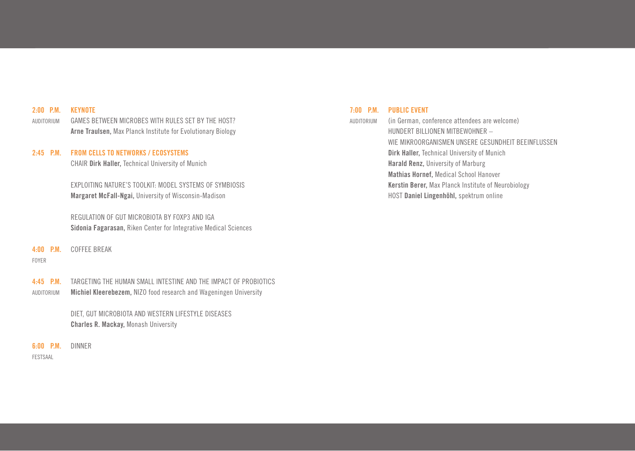#### **2:00 P.M. KEYNOTE**

AUDITORIUM GAMES BETWEEN MICROBES WITH RULES SET BY THE HOST?  **Arne Traulsen,** Max Planck Institute for Evolutionary Biology

#### **2:45 P.M. FROM CELLS TO NETWORKS / ECOSYSTEMS**

CHAIR **Dirk Haller,** Technical University of Munich

EXPLOITING NATURE'S TOOLKIT: MODEL SYSTEMS OF SYMBIOSIS  **Margaret McFall-Ngai,** University of Wisconsin-Madison

 REGULATION OF GUT MICROBIOTA BY FOXP3 AND IGA **Sidonia Fagarasan,** Riken Center for Integrative Medical Sciences

#### **4:00 P.M.** COFFEE BREAK

#### FOYER

**4:45 P.M.** TARGETING THE HUMAN SMALL INTESTINE AND THE IMPACT OF PROBIOTICS AUDITORIUM **Michiel Kleerebezem,** NIZO food research and Wageningen University

> DIET, GUT MICROBIOTA AND WESTERN LIFESTYLE DISEASES  **Charles R. Mackay,** Monash University

**6:00 P.M.** DINNER

FESTSAAL

#### **7:00 P.M. PUBLIC EVENT**

AUDITORIUM (in German, conference attendees are welcome) HUNDERT BILLIONEN MITBEWOHNER – WIE MIKROORGANISMEN UNSERE GESUNDHEIT BEEINFLUSSEN  **Dirk Haller,** Technical University of Munich  **Harald Renz,** University of Marburg  **Mathias Hornef,** Medical School Hanover  **Kerstin Berer,** Max Planck Institute of Neurobiology HOST **Daniel Lingenhöhl,** spektrum online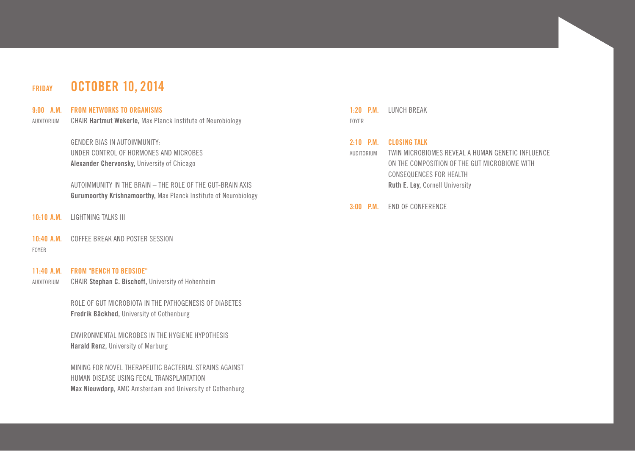### **FRIDAY OCTOBER 10, 2014**

#### **9:00 A.M. FROM NETWORKS TO ORGANISMS**

AUDITORIUM CHAIR **Hartmut Wekerle,** Max Planck Institute of Neurobiology

**GENDER BIAS IN AUTOIMMUNITY:**  UNDER CONTROL OF HORMONES AND MICROBES  **Alexander Chervonsky,** University of Chicago

 AUTOIMMUNITY IN THE BRAIN – THE ROLE OF THE GUT-BRAIN AXIS **Gurumoorthy Krishnamoorthy,** Max PIanck Institute of Neurobiology

- **10:10 A.M.** LIGHTNING TALKS III
- **10:40 A.M.** COFFEE BREAK AND POSTER SESSION

FOYER

#### **11:40 A.M. FROM "BENCH TO BEDSIDE"**

AUDITORIUM CHAIR **Stephan C. Bischoff,** University of Hohenheim

ROLE OF GUT MICROBIOTA IN THE PATHOGENESIS OF DIABETES  **Fredrik Bäckhed,** University of Gothenburg

 ENVIRONMENTAL MICROBES IN THE HYGIENE HYPOTHESIS **Harald Renz,** University of Marburg

 MINING FOR NOVEL THERAPEUTIC BACTERIAL STRAINS AGAINST HUMAN DISEASE USING FECAL TRANSPLANTATION **Max Nieuwdorp,** AMC Amsterdam and University of Gothenburg **1:20 P.M.** LUNCH BREAK FOYER

#### **2:10 P.M. CLOSING TALK**

AUDITORIUM TWIN MICROBIOMES REVEAL A HUMAN GENETIC INFLUENCE ON THE COMPOSITION OF THE GUT MICROBIOME WITH CONSEQUENCES FOR HEALTH  **Ruth E. Ley,** Cornell University

**3:00 P.M.** END OF CONFERENCE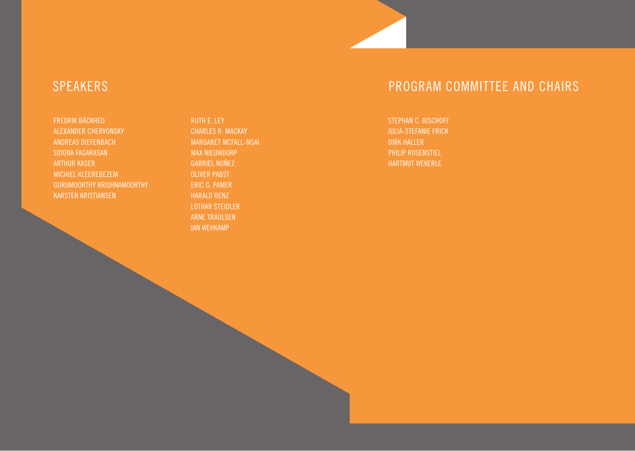FREDRIK BÄCKHED ALEXANDER CHERVONSKY ANDREAS DIEFENBACH SIDONA FAGARASAN ARTHUR KASER MICHIEL KLEEREBEZEM GURUMOORTHY KRISHNAMOORTHY KARSTEN KRISTIANSEN

RUTH E. LEY CHARLES R. MACKAY MARGARET MCFALL-NGAI MAX NIEUWDORP GABRIEL NUÑEZ OLIVER PABST ERIC G. PAMER HARALD RENZ LOTHAR STEIDLER ARNE TRAULSEN JAN WEHKAMP

# SPEAKERS PROGRAM COMMITTEE AND CHAIRS

STEPHAN C. BISCHOFF JULIA-STEFANIE FRICK DIRK HALLER PHILIP ROSENSTIEL HARTMUT WEKERLE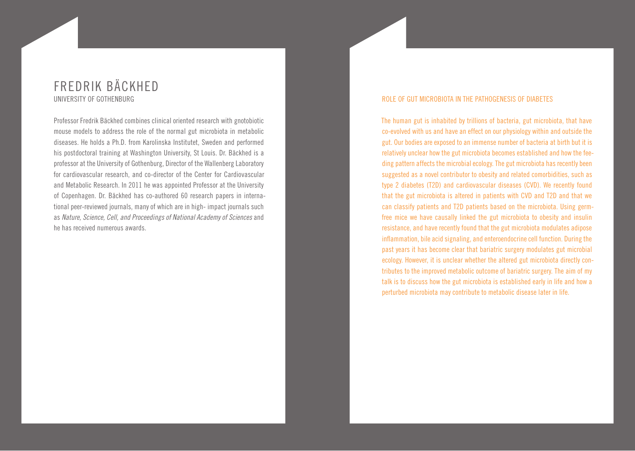### FREDRIK BÄCKHED UNIVERSITY OF GOTHENBURG

Professor Fredrik Bäckhed combines clinical oriented research with gnotobiotic mouse models to address the role of the normal gut microbiota in metabolic diseases. He holds a Ph.D. from Karolinska Institutet, Sweden and performed his postdoctoral training at Washington University, St Louis. Dr. Bäckhed is a professor at the University of Gothenburg, Director of the Wallenberg Laboratory for cardiovascular research, and co-director of the Center for Cardiovascular and Metabolic Research. In 2011 he was appointed Professor at the University of Copenhagen. Dr. Bäckhed has co-authored 60 research papers in international peer-reviewed journals, many of which are in high- impact journals such as *Nature, Science, Cell, and Proceedings of National Academy of Sciences* and he has received numerous awards.

#### ROLE OF GUT MICROBIOTA IN THE PATHOGENESIS OF DIABETES

The human gut is inhabited by trillions of bacteria, gut microbiota, that have co-evolved with us and have an effect on our physiology within and outside the gut. Our bodies are exposed to an immense number of bacteria at birth but it is relatively unclear how the gut microbiota becomes established and how the feeding pattern affects the microbial ecology. The gut microbiota has recently been suggested as a novel contributor to obesity and related comorbidities, such as type 2 diabetes (T2D) and cardiovascular diseases (CVD). We recently found that the gut microbiota is altered in patients with CVD and T2D and that we can classify patients and T2D patients based on the microbiota. Using germfree mice we have causally linked the gut microbiota to obesity and insulin resistance, and have recently found that the gut microbiota modulates adipose inflammation, bile acid signaling, and enteroendocrine cell function. During the past years it has become clear that bariatric surgery modulates gut microbial ecology. However, it is unclear whether the altered gut microbiota directly contributes to the improved metabolic outcome of bariatric surgery. The aim of my talk is to discuss how the gut microbiota is established early in life and how a perturbed microbiota may contribute to metabolic disease later in life.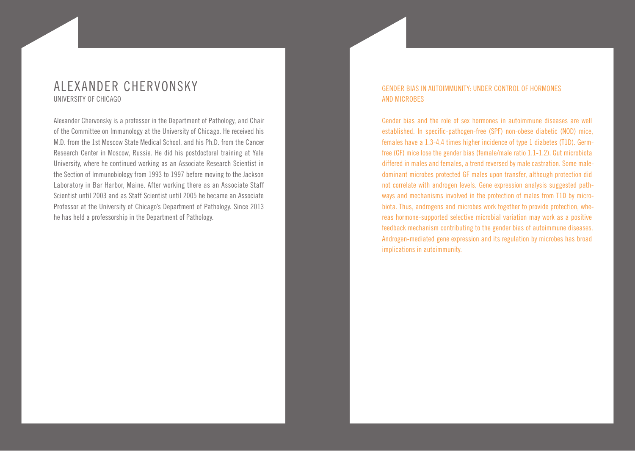### ALEXANDER CHERVONSKY UNIVERSITY OF CHICAGO

Alexander Chervonsky is a professor in the Department of Pathology, and Chair of the Committee on Immunology at the University of Chicago. He received his M.D. from the 1st Moscow State Medical School, and his Ph.D. from the Cancer Research Center in Moscow, Russia. He did his postdoctoral training at Yale University, where he continued working as an Associate Research Scientist in the Section of Immunobiology from 1993 to 1997 before moving to the Jackson Laboratory in Bar Harbor, Maine. After working there as an Associate Staff Scientist until 2003 and as Staff Scientist until 2005 he became an Associate Professor at the University of Chicago's Department of Pathology. Since 2013 he has held a professorship in the Department of Pathology.

### GENDER BIAS IN AUTOIMMUNITY: UNDER CONTROL OF HORMONES AND MICROBES

Gender bias and the role of sex hormones in autoimmune diseases are well established. In specific-pathogen-free (SPF) non-obese diabetic (NOD) mice, females have a 1.3-4.4 times higher incidence of type 1 diabetes (T1D). Germfree (GF) mice lose the gender bias (female/male ratio 1.1-1.2). Gut microbiota differed in males and females, a trend reversed by male castration. Some maledominant microbes protected GF males upon transfer, although protection did not correlate with androgen levels. Gene expression analysis suggested pathways and mechanisms involved in the protection of males from T1D by microbiota. Thus, androgens and microbes work together to provide protection, whereas hormone-supported selective microbial variation may work as a positive feedback mechanism contributing to the gender bias of autoimmune diseases. Androgen-mediated gene expression and its regulation by microbes has broad implications in autoimmunity.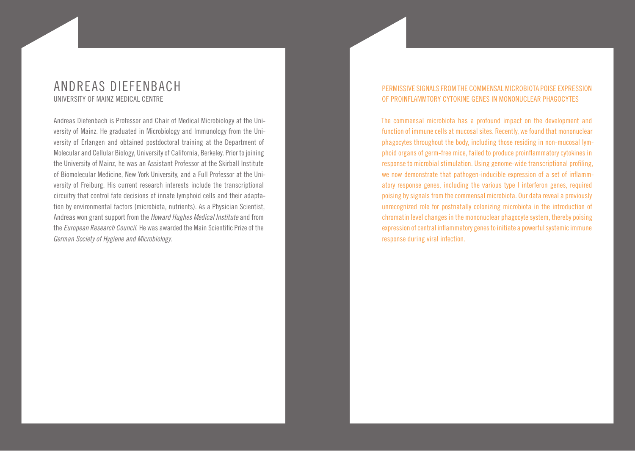### ANDREAS DIEFENBACH UNIVERSITY OF MAINZ MEDICAL CENTRE

Andreas Diefenbach is Professor and Chair of Medical Microbiology at the University of Mainz. He graduated in Microbiology and Immunology from the University of Erlangen and obtained postdoctoral training at the Department of Molecular and Cellular Biology, University of California, Berkeley. Prior to joining the University of Mainz, he was an Assistant Professor at the Skirball Institute of Biomolecular Medicine, New York University, and a Full Professor at the University of Freiburg. His current research interests include the transcriptional circuitry that control fate decisions of innate lymphoid cells and their adaptation by environmental factors (microbiota, nutrients). As a Physician Scientist, Andreas won grant support from the *Howard Hughes Medical Institute* and from the *European Research Council*. He was awarded the Main Scientific Prize of the *German Society of Hygiene and Microbiology*.

### PERMISSIVE SIGNALS FROM THE COMMENSAL MICROBIOTA POISE EXPRESSION OF PROINFLAMMTORY CYTOKINE GENES IN MONONUCLEAR PHAGOCYTES

The commensal microbiota has a profound impact on the development and function of immune cells at mucosal sites. Recently, we found that mononuclear phagocytes throughout the body, including those residing in non-mucosal lymphoid organs of germ-free mice, failed to produce proinflammatory cytokines in response to microbial stimulation. Using genome-wide transcriptional profiling, we now demonstrate that pathogen-inducible expression of a set of inflammatory response genes, including the various type I interferon genes, required poising by signals from the commensal microbiota. Our data reveal a previously unrecognized role for postnatally colonizing microbiota in the introduction of chromatin level changes in the mononuclear phagocyte system, thereby poising expression of central inflammatory genes to initiate a powerful systemic immune response during viral infection.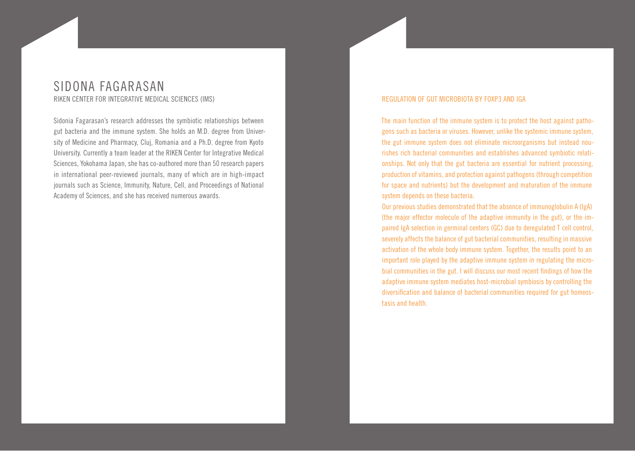### SIDONA FAGARASAN RIKEN CENTER FOR INTEGRATIVE MEDICAL SCIENCES (IMS)

Sidonia Fagarasan's research addresses the symbiotic relationships between gut bacteria and the immune system. She holds an M.D. degree from University of Medicine and Pharmacy, Cluj, Romania and a Ph.D. degree from Kyoto University. Currently a team leader at the RIKEN Center for Integrative Medical Sciences, Yokohama Japan, she has co-authored more than 50 research papers in international peer-reviewed journals, many of which are in high-impact journals such as Science, Immunity, Nature, Cell, and Proceedings of National Academy of Sciences, and she has received numerous awards.

#### REGULATION OF GUT MICROBIOTA BY FOXP3 AND IGA

The main function of the immune system is to protect the host against pathogens such as bacteria or viruses. However, unlike the systemic immune system, the gut immune system does not eliminate microorganisms but instead nourishes rich bacterial communities and establishes advanced symbiotic relationships. Not only that the gut bacteria are essential for nutrient processing, production of vitamins, and protection against pathogens (through competition for space and nutrients) but the development and maturation of the immune system depends on these bacteria.

Our previous studies demonstrated that the absence of immunoglobulin A (IgA) (the major effector molecule of the adaptive immunity in the gut), or the impaired IgA selection in germinal centers (GC) due to deregulated T cell control, severely affects the balance of gut bacterial communities, resulting in massive activation of the whole body immune system. Together, the results point to an important role played by the adaptive immune system in regulating the microbial communities in the gut. I will discuss our most recent findings of how the adaptive immune system mediates host-microbial symbiosis by controlling the diversification and balance of bacterial communities required for gut homeostasis and health.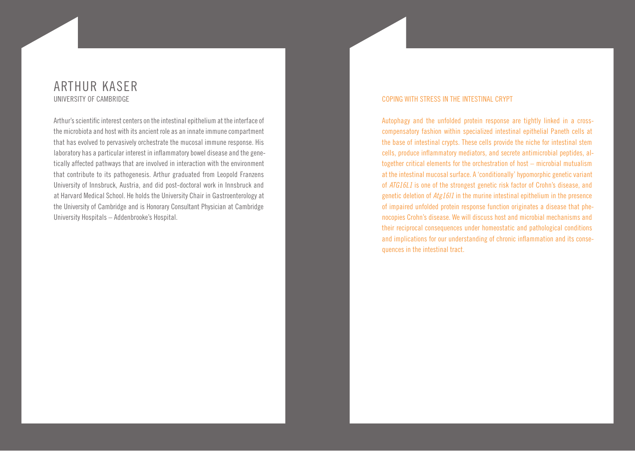### ARTHUR KASER UNIVERSITY OF CAMBRIDGE

Arthur's scientific interest centers on the intestinal epithelium at the interface of the microbiota and host with its ancient role as an innate immune compartment that has evolved to pervasively orchestrate the mucosal immune response. His laboratory has a particular interest in inflammatory bowel disease and the genetically affected pathways that are involved in interaction with the environment that contribute to its pathogenesis. Arthur graduated from Leopold Franzens University of Innsbruck, Austria, and did post-doctoral work in Innsbruck and at Harvard Medical School. He holds the University Chair in Gastroenterology at the University of Cambridge and is Honorary Consultant Physician at Cambridge University Hospitals – Addenbrooke's Hospital.

#### COPING WITH STRESS IN THE INTESTINAL CRYPT

Autophagy and the unfolded protein response are tightly linked in a crosscompensatory fashion within specialized intestinal epithelial Paneth cells at the base of intestinal crypts. These cells provide the niche for intestinal stem cells, produce inflammatory mediators, and secrete antimicrobial peptides, altogether critical elements for the orchestration of host – microbial mutualism at the intestinal mucosal surface. A 'conditionally' hypomorphic genetic variant of *ATG16L1* is one of the strongest genetic risk factor of Crohn's disease, and genetic deletion of *Atg16l1* in the murine intestinal epithelium in the presence of impaired unfolded protein response function originates a disease that phenocopies Crohn's disease. We will discuss host and microbial mechanisms and their reciprocal consequences under homeostatic and pathological conditions and implications for our understanding of chronic inflammation and its consequences in the intestinal tract.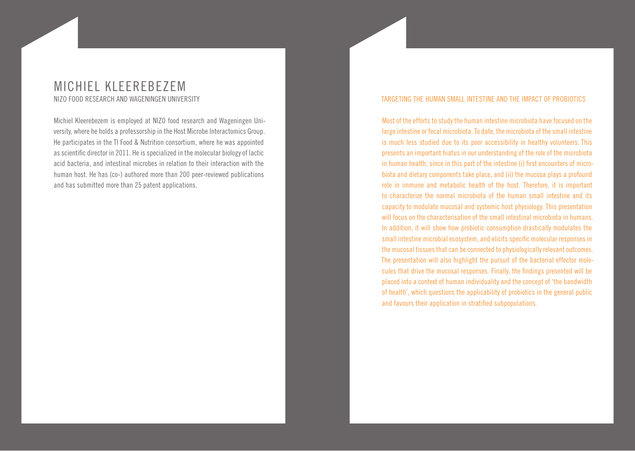### MICHIEL KLEEREBEZEM NIZO FOOD RESEARCH AND WAGENINGEN UNIVERSITY

Michiel Kleerebezem is employed at NIZO food research and Wageningen University, where he holds a professorship in the Host Microbe Interactomics Group. He participates in the TI Food & Nutrition consortium, where he was appointed as scientific director in 2011. He is specialized in the molecular biology of lactic acid bacteria, and intestinal microbes in relation to their interaction with the human host. He has (co-) authored more than 200 peer-reviewed publications and has submitted more than 25 patent applications.

#### TARGETING THE HUMAN SMALL INTESTINE AND THE IMPACT OF PROBIOTICS

Most of the efforts to study the human intestine microbiota have focused on the large intestine or fecal microbiota. To date, the microbiota of the small intestine is much less studied due to its poor accessibility in healthy volunteers. This presents an important hiatus in our understanding of the role of the microbiota in human health, since in this part of the intestine (i) first encounters of microbiota and dietary components take place, and (ii) the mucosa plays a profound role in immune and metabolic health of the host. Therefore, it is important to characterize the normal microbiota of the human small intestine and its capacity to modulate mucosal and systemic host physiology. This presentation will focus on the characterisation of the small intestinal microbiota in humans. In addition, it will show how probiotic consumption drastically modulates the small intestine microbial ecosystem, and elicits specific molecular responses in the mucosal tissues that can be connected to physiologically relevant outcomes. The presentation will also highlight the pursuit of the bacterial effector molecules that drive the mucosal responses. Finally, the findings presented will be placed into a context of human individuality and the concept of 'the bandwidth of health', which questions the applicability of probiotics in the general public and favours their application in stratified subpopulations.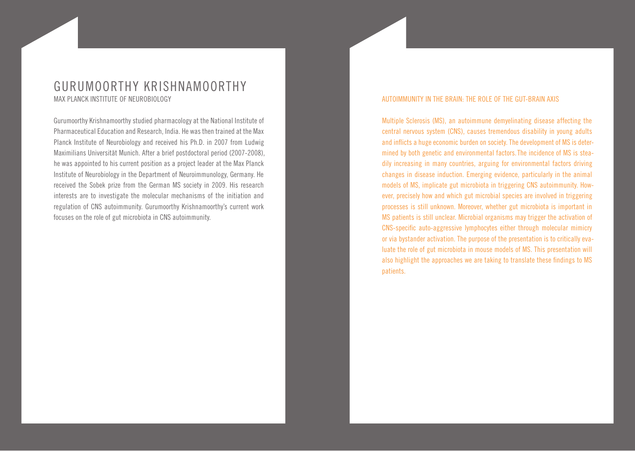### GURUMOORTHY KRISHNAMOORTHY MAX PLANCK INSTITUTE OF NEUROBIOLOGY

Gurumoorthy Krishnamoorthy studied pharmacology at the National Institute of Pharmaceutical Education and Research, India. He was then trained at the Max Planck Institute of Neurobiology and received his Ph.D. in 2007 from Ludwig Maximilians Universität Munich. After a brief postdoctoral period (2007-2008), he was appointed to his current position as a project leader at the Max Planck Institute of Neurobiology in the Department of Neuroimmunology, Germany. He received the Sobek prize from the German MS society in 2009. His research interests are to investigate the molecular mechanisms of the initiation and regulation of CNS autoimmunity. Gurumoorthy Krishnamoorthy's current work focuses on the role of gut microbiota in CNS autoimmunity.

#### AUTOIMMUNITY IN THE BRAIN: THE ROLE OF THE GUT-BRAIN AXIS

Multiple Sclerosis (MS), an autoimmune demyelinating disease affecting the central nervous system (CNS), causes tremendous disability in young adults and inflicts a huge economic burden on society. The development of MS is determined by both genetic and environmental factors. The incidence of MS is steadily increasing in many countries, arguing for environmental factors driving changes in disease induction. Emerging evidence, particularly in the animal models of MS, implicate gut microbiota in triggering CNS autoimmunity. However, precisely how and which gut microbial species are involved in triggering processes is still unknown. Moreover, whether gut microbiota is important in MS patients is still unclear. Microbial organisms may trigger the activation of CNS-specific auto-aggressive lymphocytes either through molecular mimicry or via bystander activation. The purpose of the presentation is to critically evaluate the role of gut microbiota in mouse models of MS. This presentation will also highlight the approaches we are taking to translate these findings to MS patients.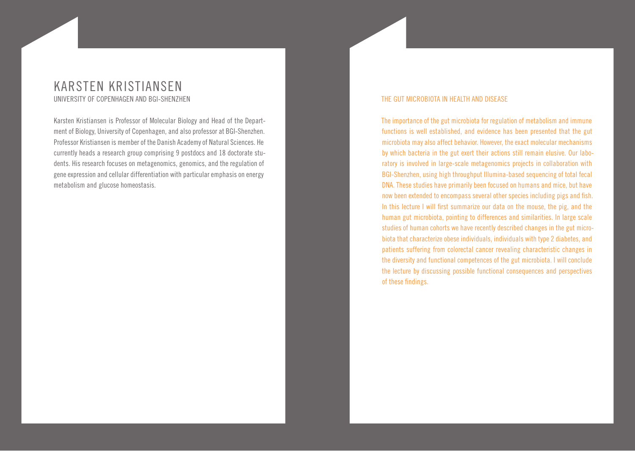### KARSTEN KRISTIANSEN UNIVERSITY OF COPENHAGEN AND BGI-SHENZHEN

Karsten Kristiansen is Professor of Molecular Biology and Head of the Department of Biology, University of Copenhagen, and also professor at BGI-Shenzhen. Professor Kristiansen is member of the Danish Academy of Natural Sciences. He currently heads a research group comprising 9 postdocs and 18 doctorate students. His research focuses on metagenomics, genomics, and the regulation of gene expression and cellular differentiation with particular emphasis on energy metabolism and glucose homeostasis.

#### THE GUT MICROBIOTA IN HEALTH AND DISEASE

The importance of the gut microbiota for regulation of metabolism and immune functions is well established, and evidence has been presented that the gut microbiota may also affect behavior. However, the exact molecular mechanisms by which bacteria in the gut exert their actions still remain elusive. Our laboratory is involved in large-scale metagenomics projects in collaboration with BGI-Shenzhen, using high throughput Illumina-based sequencing of total fecal DNA. These studies have primarily been focused on humans and mice, but have now been extended to encompass several other species including pigs and fish. In this lecture I will first summarize our data on the mouse, the pig, and the human gut microbiota, pointing to differences and similarities. In large scale studies of human cohorts we have recently described changes in the gut microbiota that characterize obese individuals, individuals with type 2 diabetes, and patients suffering from colorectal cancer revealing characteristic changes in the diversity and functional competences of the gut microbiota. I will conclude the lecture by discussing possible functional consequences and perspectives of these findings.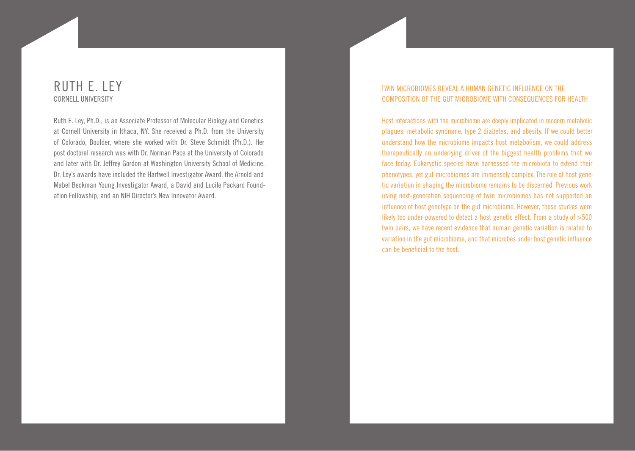### RUTH E. LEY CORNELL UNIVERSITY

Ruth E. Ley, Ph.D., is an Associate Professor of Molecular Biology and Genetics at Cornell University in Ithaca, NY. She received a Ph.D. from the University of Colorado, Boulder, where she worked with Dr. Steve Schmidt (Ph.D.). Her post doctoral research was with Dr. Norman Pace at the University of Colorado and later with Dr. Jeffrey Gordon at Washington University School of Medicine. Dr. Ley's awards have included the Hartwell Investigator Award, the Arnold and Mabel Beckman Young Investigator Award, a David and Lucile Packard Foundation Fellowship, and an NIH Director's New Innovator Award.

#### TWIN MICROBIOMES REVEAL A HUMAN GENETIC INFLUENCE ON THE COMPOSITION OF THE GUT MICROBIOME WITH CONSEQUENCES FOR HEALTH

Host interactions with the microbiome are deeply implicated in modern metabolic plagues: metabolic syndrome, type 2 diabetes, and obesity. If we could better understand how the microbiome impacts host metabolism, we could address therapeutically an underlying driver of the biggest health problems that we face today. Eukaryotic species have harnessed the microbiota to extend their phenotypes, yet gut microbiomes are immensely complex. The role of host genetic variation in shaping the microbiome remains to be discerned. Previous work using next-generation sequencing of twin microbiomes has not supported an influence of host genotype on the gut microbiome. However, these studies were likely too under-powered to detect a host genetic effect. From a study of  $>500$ twin pairs, we have recent evidence that human genetic variation is related to variation in the gut microbiome, and that microbes under host genetic influence can be beneficial to the host.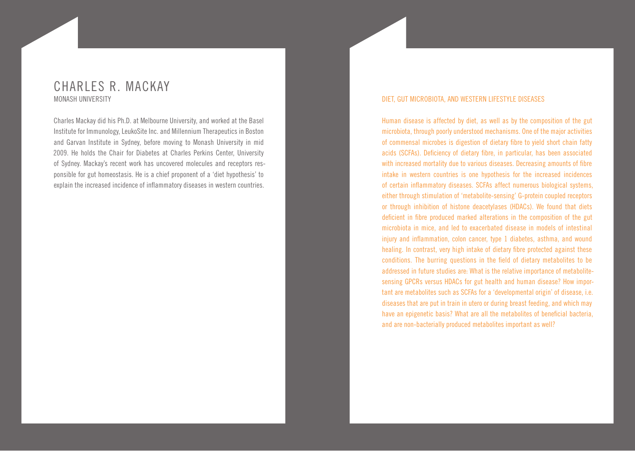### CHARLES R. MACKAY MONASH UNIVERSITY

Charles Mackay did his Ph.D. at Melbourne University, and worked at the Basel Institute for Immunology, LeukoSite Inc. and Millennium Therapeutics in Boston and Garvan Institute in Sydney, before moving to Monash University in mid 2009. He holds the Chair for Diabetes at Charles Perkins Center, University of Sydney. Mackay's recent work has uncovered molecules and receptors responsible for gut homeostasis. He is a chief proponent of a 'diet hypothesis' to explain the increased incidence of inflammatory diseases in western countries.

#### DIET, GUT MICROBIOTA, AND WESTERN LIFESTYLE DISEASES

Human disease is affected by diet, as well as by the composition of the gut microbiota, through poorly understood mechanisms. One of the major activities of commensal microbes is digestion of dietary fibre to yield short chain fatty acids (SCFAs). Deficiency of dietary fibre, in particular, has been associated with increased mortality due to various diseases. Decreasing amounts of fibre intake in western countries is one hypothesis for the increased incidences of certain inflammatory diseases. SCFAs affect numerous biological systems, either through stimulation of 'metabolite-sensing' G-protein coupled receptors or through inhibition of histone deacetylases (HDACs). We found that diets deficient in fibre produced marked alterations in the composition of the gut microbiota in mice, and led to exacerbated disease in models of intestinal injury and inflammation, colon cancer, type 1 diabetes, asthma, and wound healing. In contrast, very high intake of dietary fibre protected against these conditions. The burring questions in the field of dietary metabolites to be addressed in future studies are: What is the relative importance of metabolitesensing GPCRs versus HDACs for gut health and human disease? How important are metabolites such as SCFAs for a 'developmental origin' of disease, i.e. diseases that are put in train in utero or during breast feeding, and which may have an epigenetic basis? What are all the metabolites of beneficial bacteria, and are non-bacterially produced metabolites important as well?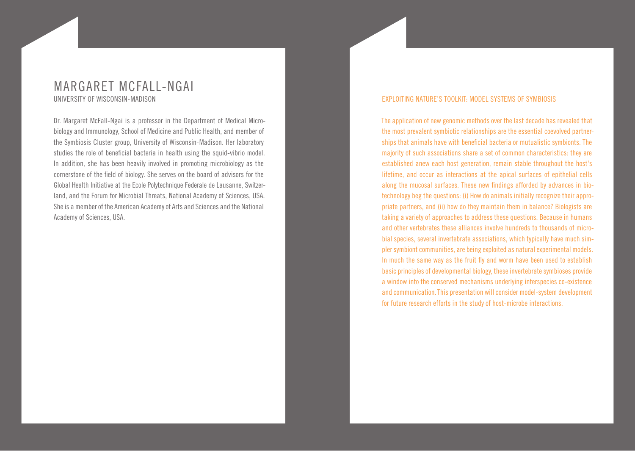### MARGARET MCFALL-NGAI UNIVERSITY OF WISCONSIN-MADISON

Dr. Margaret McFall-Ngai is a professor in the Department of Medical Microbiology and Immunology, School of Medicine and Public Health, and member of the Symbiosis Cluster group, University of Wisconsin-Madison. Her laboratory studies the role of beneficial bacteria in health using the squid-vibrio model. In addition, she has been heavily involved in promoting microbiology as the cornerstone of the field of biology. She serves on the board of advisors for the Global Health Initiative at the Ecole Polytechnique Federale de Lausanne, Switzerland, and the Forum for Microbial Threats, National Academy of Sciences, USA. She is a member of the American Academy of Arts and Sciences and the National Academy of Sciences, USA.

#### EXPLOITING NATURE'S TOOLKIT: MODEL SYSTEMS OF SYMBIOSIS

The application of new genomic methods over the last decade has revealed that the most prevalent symbiotic relationships are the essential coevolved partnerships that animals have with beneficial bacteria or mutualistic symbionts. The majority of such associations share a set of common characteristics: they are established anew each host generation, remain stable throughout the host's lifetime, and occur as interactions at the apical surfaces of epithelial cells along the mucosal surfaces. These new findings afforded by advances in biotechnology beg the questions: (i) How do animals initially recognize their appropriate partners, and (ii) how do they maintain them in balance? Biologists are taking a variety of approaches to address these questions. Because in humans and other vertebrates these alliances involve hundreds to thousands of microbial species, several invertebrate associations, which typically have much simpler symbiont communities, are being exploited as natural experimental models. In much the same way as the fruit fly and worm have been used to establish basic principles of developmental biology, these invertebrate symbioses provide a window into the conserved mechanisms underlying interspecies co-existence and communication. This presentation will consider model-system development for future research efforts in the study of host-microbe interactions.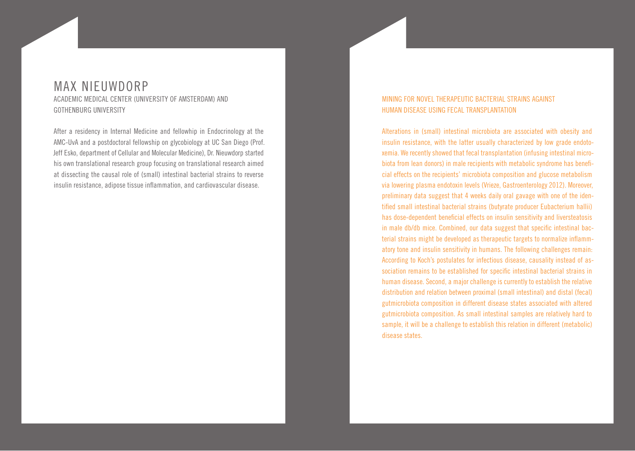# MAX NIEUWDORP

ACADEMIC MEDICAL CENTER (UNIVERSITY OF AMSTERDAM) AND GOTHENBURG UNIVERSITY

After a residency in Internal Medicine and fellowhip in Endocrinology at the AMC-UvA and a postdoctoral fellowship on glycobiology at UC San Diego (Prof. Jeff Esko, department of Cellular and Molecular Medicine), Dr. Nieuwdorp started his own translational research group focusing on translational research aimed at dissecting the causal role of (small) intestinal bacterial strains to reverse insulin resistance, adipose tissue inflammation, and cardiovascular disease.

### MINING FOR NOVEL THERAPEUTIC BACTERIAL STRAINS AGAINST HUMAN DISEASE USING FECAL TRANSPLANTATION

Alterations in (small) intestinal microbiota are associated with obesity and insulin resistance, with the latter usually characterized by low grade endotoxemia. We recently showed that fecal transplantation (infusing intestinal microbiota from lean donors) in male recipients with metabolic syndrome has beneficial effects on the recipients' microbiota composition and glucose metabolism via lowering plasma endotoxin levels (Vrieze, Gastroenterology 2012). Moreover, preliminary data suggest that 4 weeks daily oral gavage with one of the identified small intestinal bacterial strains (butyrate producer Eubacterium hallii) has dose-dependent beneficial effects on insulin sensitivity and liversteatosis in male db/db mice. Combined, our data suggest that specific intestinal bacterial strains might be developed as therapeutic targets to normalize inflammatory tone and insulin sensitivity in humans. The following challenges remain: According to Koch's postulates for infectious disease, causality instead of association remains to be established for specific intestinal bacterial strains in human disease. Second, a major challenge is currently to establish the relative distribution and relation between proximal (small intestinal) and distal (fecal) gutmicrobiota composition in different disease states associated with altered gutmicrobiota composition. As small intestinal samples are relatively hard to sample, it will be a challenge to establish this relation in different (metabolic) disease states.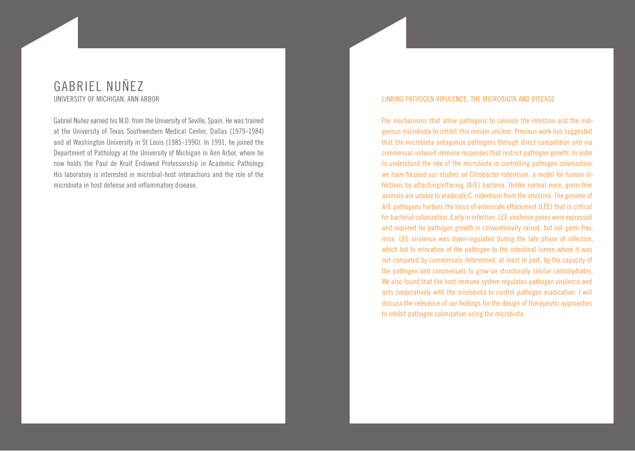### GABRIEL NUÑEZ UNIVERSITY OF MICHIGAN, ANN ARBOR

Gabriel Nuñez earned his M.D. from the University of Seville, Spain. He was trained at the University of Texas Southwestern Medical Center, Dallas (1979-1984) and at Washington University in St Louis (1985-1990). In 1991, he joined the Department of Pathology at the University of Michigan in Ann Arbor, where he now holds the Paul de Kruif Endowed Professorship in Academic Pathology. His laboratory is interested in microbial-host interactions and the role of the microbiota in host defense and inflammatory disease.

#### LINKING PATHOGEN VIRULENCE, THE MICROBIOTA AND DISEASE

The mechanisms that allow pathogens to colonize the intestine and the indigenous microbiota to inhibit this remain unclear. Previous work has suggested that the microbiota antagonize pathogens through direct competition and via commensal-induced immune responses that restrict pathogen growth. In order to understand the role of the microbiota in controlling pathogen colonization, we have focused our studies on Citrobacter rodentium, a model for human infections by attaching/effacing (A/E) bacteria. Unlike normal mice, germ-free animals are unable to eradicate C. rodentium from the intestine. The genome of A/E pathogens harbors the locus of enterocyte effacement (LEE) that is critical for bacterial colonization. Early in infection, LEE virulence genes were expressed and required for pathogen growth in conventionally raised, but not germ-free, mice. LEE virulence was down-regulated during the late phase of infection, which led to relocation of the pathogen to the intestinal lumen where it was out-competed by commensals determined, at least in part, by the capacity of the pathogen and commensals to grow on structurally similar carbohydrates. We also found that the host immune system regulates pathogen virulence and acts cooperatively with the microbiota to control pathogen eradication. I will discuss the relevance of our findings for the design of therapeutic approaches to inhibit pathogen colonization using the microbiota.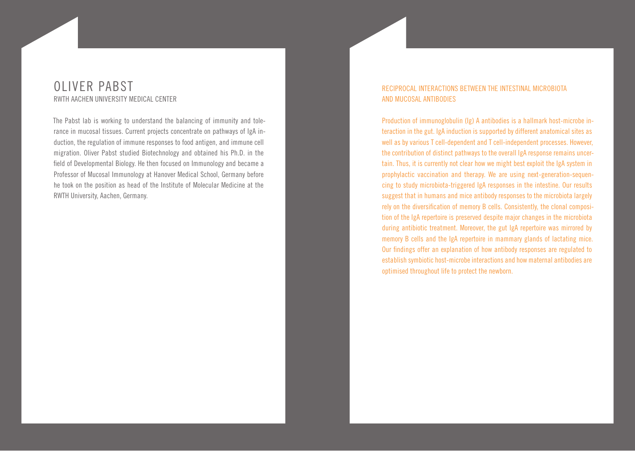### OLIVER PABST RWTH AACHEN UNIVERSITY MEDICAL CENTER

The Pabst lab is working to understand the balancing of immunity and tolerance in mucosal tissues. Current projects concentrate on pathways of IgA induction, the regulation of immune responses to food antigen, and immune cell migration. Oliver Pabst studied Biotechnology and obtained his Ph.D. in the field of Developmental Biology. He then focused on Immunology and became a Professor of Mucosal Immunology at Hanover Medical School, Germany before he took on the position as head of the Institute of Molecular Medicine at the RWTH University, Aachen, Germany.

### RECIPROCAL INTERACTIONS BETWEEN THE INTESTINAL MICROBIOTA AND MUCOSAL ANTIBODIES

Production of immunoglobulin (Ig) A antibodies is a hallmark host-microbe interaction in the gut. IgA induction is supported by different anatomical sites as well as by various T cell-dependent and T cell-independent processes. However, the contribution of distinct pathways to the overall IgA response remains uncertain. Thus, it is currently not clear how we might best exploit the IgA system in prophylactic vaccination and therapy. We are using next-generation-sequencing to study microbiota-triggered IgA responses in the intestine. Our results suggest that in humans and mice antibody responses to the microbiota largely rely on the diversification of memory B cells. Consistently, the clonal composition of the IgA repertoire is preserved despite major changes in the microbiota during antibiotic treatment. Moreover, the gut IgA repertoire was mirrored by memory B cells and the IgA repertoire in mammary glands of lactating mice. Our findings offer an explanation of how antibody responses are regulated to establish symbiotic host-microbe interactions and how maternal antibodies are optimised throughout life to protect the newborn.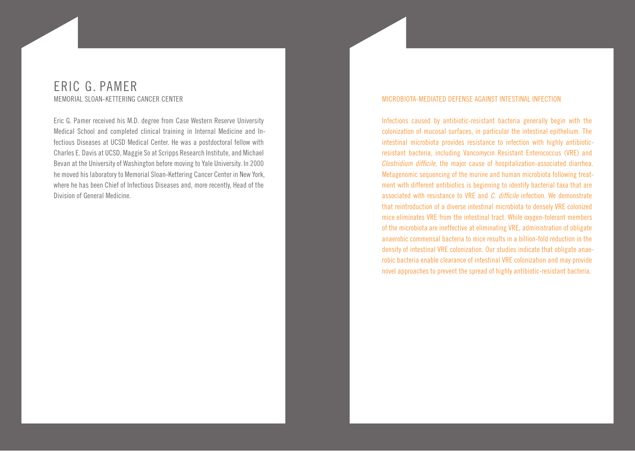### ERIC G. PAMER MEMORIAL SLOAN-KETTERING CANCER CENTER

Eric G. Pamer received his M.D. degree from Case Western Reserve University Medical School and completed clinical training in Internal Medicine and Infectious Diseases at UCSD Medical Center. He was a postdoctoral fellow with Charles E. Davis at UCSD, Maggie So at Scripps Research Institute, and Michael Bevan at the University of Washington before moving to Yale University. In 2000 he moved his laboratory to Memorial Sloan-Kettering Cancer Center in New York, where he has been Chief of Infectious Diseases and, more recently, Head of the Division of General Medicine.

#### MICROBIOTA-MEDIATED DEFENSE AGAINST INTESTINAL INFECTION

Infections caused by antibiotic-resistant bacteria generally begin with the colonization of mucosal surfaces, in particular the intestinal epithelium. The intestinal microbiota provides resistance to infection with highly antibioticresistant bacteria, including Vancomycin Resistant Enterococcus (VRE) and *Clostridium difficile*, the major cause of hospitalization-associated diarrhea. Metagenomic sequencing of the murine and human microbiota following treatment with different antibiotics is beginning to identify bacterial taxa that are associated with resistance to VRE and *C. difficile* infection. We demonstrate that reintroduction of a diverse intestinal microbiota to densely VRE colonized mice eliminates VRE from the intestinal tract. While oxygen-tolerant members of the microbiota are ineffective at eliminating VRE, administration of obligate anaerobic commensal bacteria to mice results in a billion-fold reduction in the density of intestinal VRE colonization. Our studies indicate that obligate anaerobic bacteria enable clearance of intestinal VRE colonization and may provide novel approaches to prevent the spread of highly antibiotic-resistant bacteria.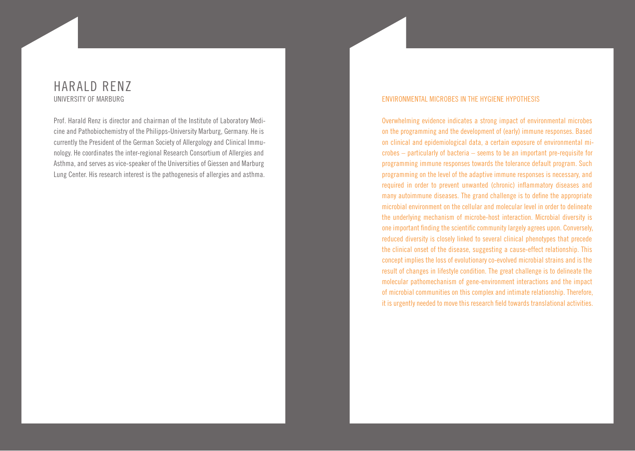### HARALD RENZ UNIVERSITY OF MARBURG

Prof. Harald Renz is director and chairman of the Institute of Laboratory Medicine and Pathobiochemistry of the Philipps-University Marburg, Germany. He is currently the President of the German Society of Allergology and Clinical Immunology. He coordinates the inter-regional Research Consortium of Allergies and Asthma, and serves as vice-speaker of the Universities of Giessen and Marburg Lung Center. His research interest is the pathogenesis of allergies and asthma.

#### ENVIRONMENTAL MICROBES IN THE HYGIENE HYPOTHESIS

Overwhelming evidence indicates a strong impact of environmental microbes on the programming and the development of (early) immune responses. Based on clinical and epidemiological data, a certain exposure of environmental microbes – particularly of bacteria – seems to be an important pre-requisite for programming immune responses towards the tolerance default program. Such programming on the level of the adaptive immune responses is necessary, and required in order to prevent unwanted (chronic) inflammatory diseases and many autoimmune diseases. The grand challenge is to define the appropriate microbial environment on the cellular and molecular level in order to delineate the underlying mechanism of microbe-host interaction. Microbial diversity is one important finding the scientific community largely agrees upon. Conversely, reduced diversity is closely linked to several clinical phenotypes that precede the clinical onset of the disease, suggesting a cause-effect relationship. This concept implies the loss of evolutionary co-evolved microbial strains and is the result of changes in lifestyle condition. The great challenge is to delineate the molecular pathomechanism of gene-environment interactions and the impact of microbial communities on this complex and intimate relationship. Therefore, it is urgently needed to move this research field towards translational activities.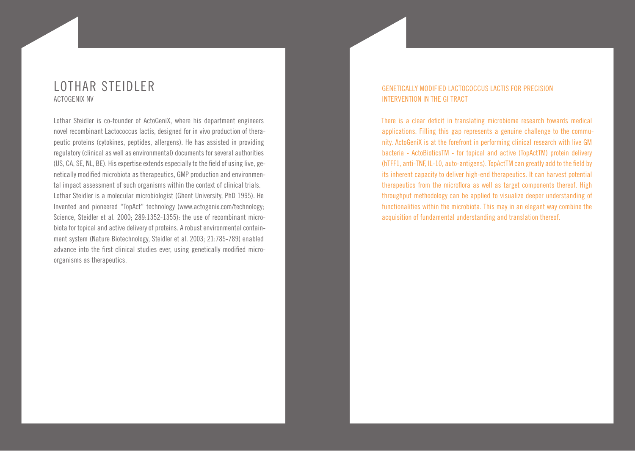### LOTHAR STEIDLER ACTOGENIX NV

Lothar Steidler is co-founder of ActoGeniX, where his department engineers novel recombinant Lactococcus lactis, designed for in vivo production of therapeutic proteins (cytokines, peptides, allergens). He has assisted in providing regulatory (clinical as well as environmental) documents for several authorities (US, CA, SE, NL, BE). His expertise extends especially to the field of using live, genetically modified microbiota as therapeutics, GMP production and environmental impact assessment of such organisms within the context of clinical trials. Lothar Steidler is a molecular microbiologist (Ghent University, PhD 1995). He Invented and pioneered "TopAct" technology (www.actogenix.com/technology; Science, Steidler et al. 2000; 289:1352-1355): the use of recombinant microbiota for topical and active delivery of proteins. A robust environmental containment system (Nature Biotechnology, Steidler et al. 2003; 21:785-789) enabled advance into the first clinical studies ever, using genetically modified microorganisms as therapeutics.

### GENETICALLY MODIFIED LACTOCOCCUS LACTIS FOR PRECISION INTERVENTION IN THE GI TRACT

There is a clear deficit in translating microbiome research towards medical applications. Filling this gap represents a genuine challenge to the community. ActoGeniX is at the forefront in performing clinical research with live GM bacteria - ActoBioticsTM - for topical and active (TopActTM) protein delivery (hTFF1, anti-TNF, IL-10, auto-antigens). TopActTM can greatly add to the field by its inherent capacity to deliver high-end therapeutics. It can harvest potential therapeutics from the microflora as well as target components thereof. High throughput methodology can be applied to visualize deeper understanding of functionalities within the microbiota. This may in an elegant way combine the acquisition of fundamental understanding and translation thereof.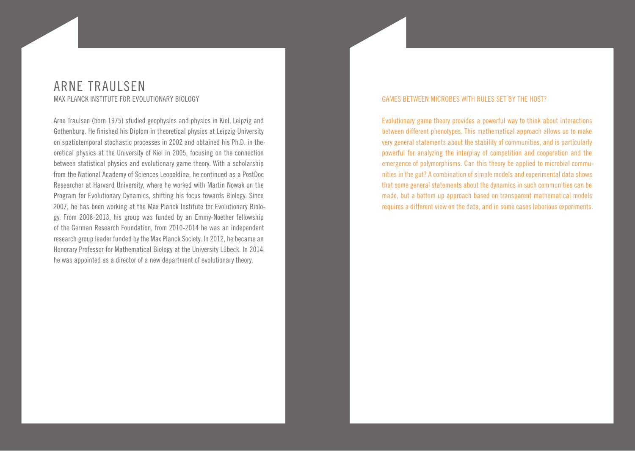### ARNE TRAULSEN MAX PLANCK INSTITUTE FOR EVOLUTIONARY BIOLOGY

Arne Traulsen (born 1975) studied geophysics and physics in Kiel, Leipzig and Gothenburg. He finished his Diplom in theoretical physics at Leipzig University on spatiotemporal stochastic processes in 2002 and obtained his Ph.D. in theoretical physics at the University of Kiel in 2005, focusing on the connection between statistical physics and evolutionary game theory. With a scholarship from the National Academy of Sciences Leopoldina, he continued as a PostDoc Researcher at Harvard University, where he worked with Martin Nowak on the Program for Evolutionary Dynamics, shifting his focus towards Biology. Since 2007, he has been working at the Max Planck Institute for Evolutionary Biology. From 2008-2013, his group was funded by an Emmy-Noether fellowship of the German Research Foundation, from 2010-2014 he was an independent research group leader funded by the Max Planck Society. In 2012, he became an Honorary Professor for Mathematical Biology at the University Lübeck. In 2014, he was appointed as a director of a new department of evolutionary theory.

#### GAMES BETWEEN MICROBES WITH RULES SET BY THE HOST?

Evolutionary game theory provides a powerful way to think about interactions between different phenotypes. This mathematical approach allows us to make very general statements about the stability of communities, and is particularly powerful for analyzing the interplay of competition and cooperation and the emergence of polymorphisms. Can this theory be applied to microbial communities in the gut? A combination of simple models and experimental data shows that some general statements about the dynamics in such communities can be made, but a bottom up approach based on transparent mathematical models requires a different view on the data, and in some cases laborious experiments.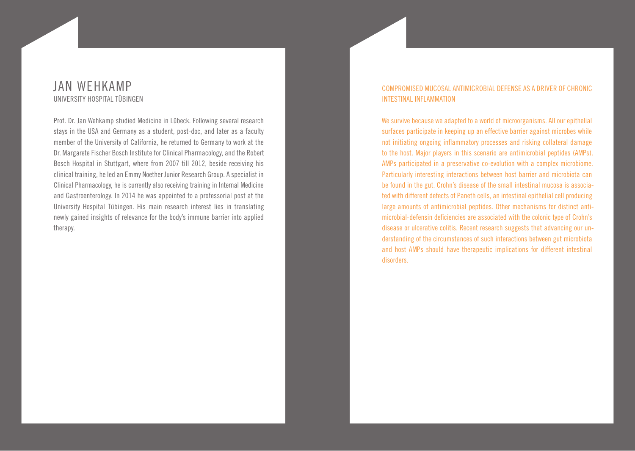### JAN WEHKAMP UNIVERSITY HOSPITAL TÜBINGEN

Prof. Dr. Jan Wehkamp studied Medicine in Lübeck. Following several research stays in the USA and Germany as a student, post-doc, and later as a faculty member of the University of California, he returned to Germany to work at the Dr. Margarete Fischer Bosch Institute for Clinical Pharmacology, and the Robert Bosch Hospital in Stuttgart, where from 2007 till 2012, beside receiving his clinical training, he led an Emmy Noether Junior Research Group. A specialist in Clinical Pharmacology, he is currently also receiving training in Internal Medicine and Gastroenterology. In 2014 he was appointed to a professorial post at the University Hospital Tübingen. His main research interest lies in translating newly gained insights of relevance for the body's immune barrier into applied therapy.

#### COMPROMISED MUCOSAL ANTIMICROBIAL DEFENSE AS A DRIVER OF CHRONIC INTESTINAL INFLAMMATION

We survive because we adapted to a world of microorganisms. All our epithelial surfaces participate in keeping up an effective barrier against microbes while not initiating ongoing inflammatory processes and risking collateral damage to the host. Major players in this scenario are antimicrobial peptides (AMPs). AMPs participated in a preservative co-evolution with a complex microbiome. Particularly interesting interactions between host barrier and microbiota can be found in the gut. Crohn's disease of the small intestinal mucosa is associated with different defects of Paneth cells, an intestinal epithelial cell producing large amounts of antimicrobial peptides. Other mechanisms for distinct antimicrobial-defensin deficiencies are associated with the colonic type of Crohn's disease or ulcerative colitis. Recent research suggests that advancing our understanding of the circumstances of such interactions between gut microbiota and host AMPs should have therapeutic implications for different intestinal disorders.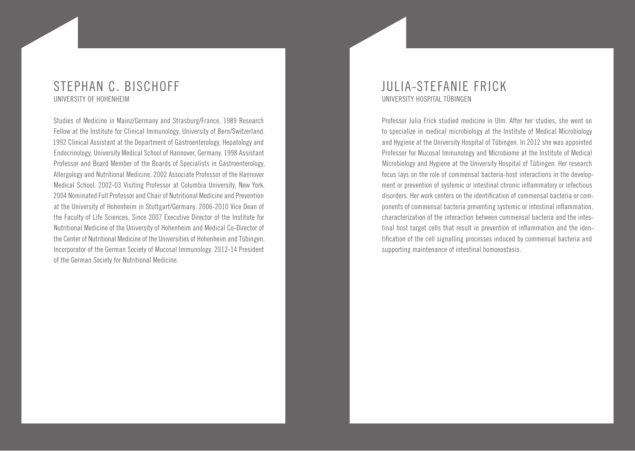### STEPHAN C. BISCHOFF UNIVERSITY OF HOHENHEIM

Studies of Medicine in Mainz/Germany and Strasburg/France. 1989 Research Fellow at the Institute for Clinical Immunology, University of Bern/Switzerland. 1992 Clinical Assistant at the Department of Gastroenterology, Hepatology and Endocrinology, University Medical School of Hannover, Germany. 1998 Assistant Professor and Board Member of the Boards of Specialists in Gastroenterology, Allergology and Nutritional Medicine. 2002 Associate Professor of the Hannover Medical School. 2002-03 Visiting Professor at Columbia University, New York. 2004 Nominated Full Professor and Chair of Nutritional Medicine and Prevention at the University of Hohenheim in Stuttgart/Germany. 2006-2010 Vice Dean of the Faculty of Life Sciences, Since 2007 Executive Director of the Institute for Nutritional Medicine of the University of Hohenheim and Medical Co-Director of the Center of Nutritional Medicine of the Universities of Hohenheim and Tübingen. Incorporator of the German Society of Mucosal Immunology. 2012-14 President of the German Society for Nutritional Medicine.

### JULIA-STEFANIE FRICK UNIVERSITY HOSPITAL TÜBINGEN

Professor Julia Frick studied medicine in Ulm. After her studies, she went on to specialize in medical microbiology at the Institute of Medical Microbiology and Hygiene at the University Hospital of Tübingen. In 2012 she was appointed Professor for Mucosal Immunology and Microbiome at the Institute of Medical Microbiology and Hygiene at the University Hospital of Tübingen. Her research focus lays on the role of commensal bacteria-host interactions in the development or prevention of systemic or intestinal chronic inflammatory or infectious disorders. Her work centers on the identification of commensal bacteria or components of commensal bacteria preventing systemic or intestinal inflammation, characterization of the interaction between commensal bacteria and the intestinal host target cells that result in prevention of inflammation and the identification of the cell signalling processes induced by commensal bacteria and supporting maintenance of intestinal homoeostasis.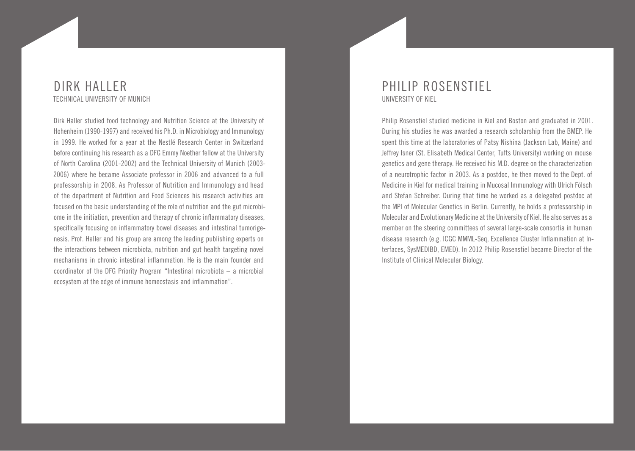### DIRK HALLER TECHNICAL UNIVERSITY OF MUNICH

Dirk Haller studied food technology and Nutrition Science at the University of Hohenheim (1990-1997) and received his Ph.D. in Microbiology and Immunology in 1999. He worked for a year at the Nestlé Research Center in Switzerland before continuing his research as a DFG Emmy Noether fellow at the University of North Carolina (2001-2002) and the Technical University of Munich (2003- 2006) where he became Associate professor in 2006 and advanced to a full professorship in 2008. As Professor of Nutrition and Immunology and head of the department of Nutrition and Food Sciences his research activities are focused on the basic understanding of the role of nutrition and the gut microbiome in the initiation, prevention and therapy of chronic inflammatory diseases, specifically focusing on inflammatory bowel diseases and intestinal tumorigenesis. Prof. Haller and his group are among the leading publishing experts on the interactions between microbiota, nutrition and gut health targeting novel mechanisms in chronic intestinal inflammation. He is the main founder and coordinator of the DFG Priority Program "Intestinal microbiota – a microbial ecosystem at the edge of immune homeostasis and inflammation".

### PHILIP ROSENSTIEL UNIVERSITY OF KIEL

Philip Rosenstiel studied medicine in Kiel and Boston and graduated in 2001. During his studies he was awarded a research scholarship from the BMEP. He spent this time at the laboratories of Patsy Nishina (Jackson Lab, Maine) and Jeffrey Isner (St. Elisabeth Medical Center, Tufts University) working on mouse genetics and gene therapy. He received his M.D. degree on the characterization of a neurotrophic factor in 2003. As a postdoc, he then moved to the Dept. of Medicine in Kiel for medical training in Mucosal Immunology with Ulrich Fölsch and Stefan Schreiber. During that time he worked as a delegated postdoc at the MPI of Molecular Genetics in Berlin. Currently, he holds a professorship in Molecular and Evolutionary Medicine at the University of Kiel. He also serves as a member on the steering committees of several large-scale consortia in human disease research (e.g. ICGC MMML-Seq, Excellence Cluster Inflammation at Interfaces, SysMEDIBD, EMED). In 2012 Philip Rosenstiel became Director of the Institute of Clinical Molecular Biology.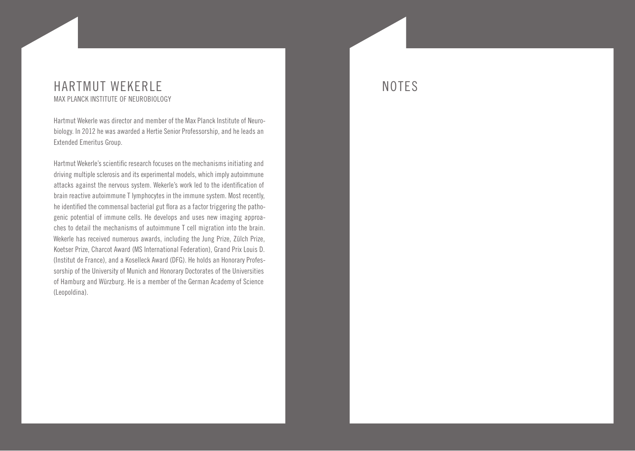### HARTMUT WEKERLE MAX PLANCK INSTITUTE OF NEUROBIOLOGY

Hartmut Wekerle was director and member of the Max Planck Institute of Neurobiology. In 2012 he was awarded a Hertie Senior Professorship, and he leads an Extended Emeritus Group.

Hartmut Wekerle's scientific research focuses on the mechanisms initiating and driving multiple sclerosis and its experimental models, which imply autoimmune attacks against the nervous system. Wekerle's work led to the identification of brain reactive autoimmune T lymphocytes in the immune system. Most recently, he identified the commensal bacterial gut flora as a factor triggering the pathogenic potential of immune cells. He develops and uses new imaging approaches to detail the mechanisms of autoimmune T cell migration into the brain. Wekerle has received numerous awards, including the Jung Prize, Zülch Prize, Koetser Prize, Charcot Award (MS International Federation), Grand Prix Louis D. (Institut de France), and a Koselleck Award (DFG). He holds an Honorary Professorship of the University of Munich and Honorary Doctorates of the Universities of Hamburg and Würzburg. He is a member of the German Academy of Science (Leopoldina).

## NOTES